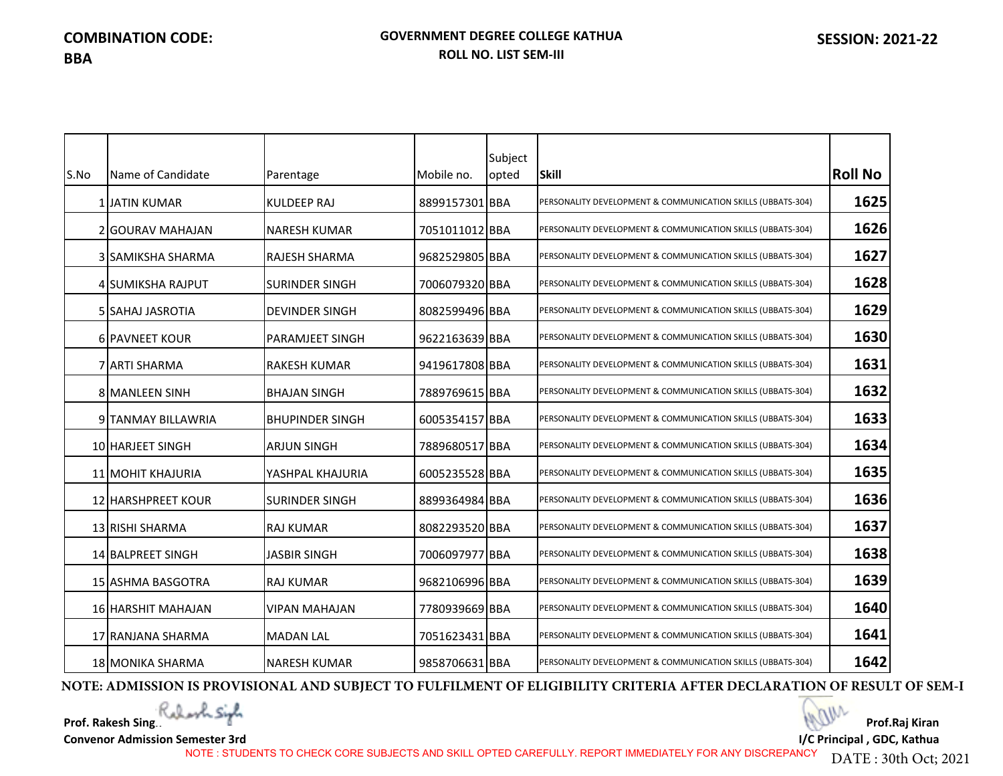|      |                           |                        |                | Subject |                                                             |                |
|------|---------------------------|------------------------|----------------|---------|-------------------------------------------------------------|----------------|
| S.No | Name of Candidate         | Parentage              | Mobile no.     | opted   | <b>Skill</b>                                                | <b>Roll No</b> |
|      | 1 JATIN KUMAR             | <b>KULDEEP RAJ</b>     | 8899157301 BBA |         | PERSONALITY DEVELOPMENT & COMMUNICATION SKILLS (UBBATS-304) | 1625           |
|      | 2 GOURAV MAHAJAN          | NARESH KUMAR           | 7051011012 BBA |         | PERSONALITY DEVELOPMENT & COMMUNICATION SKILLS (UBBATS-304) | 1626           |
|      | 3 SAMIKSHA SHARMA         | <b>RAJESH SHARMA</b>   | 9682529805 BBA |         | PERSONALITY DEVELOPMENT & COMMUNICATION SKILLS (UBBATS-304) | 1627           |
|      | 4 SUMIKSHA RAJPUT         | <b>SURINDER SINGH</b>  | 7006079320 BBA |         | PERSONALITY DEVELOPMENT & COMMUNICATION SKILLS (UBBATS-304) | 1628           |
|      | <b>5 SAHAJ JASROTIA</b>   | <b>DEVINDER SINGH</b>  | 8082599496 BBA |         | PERSONALITY DEVELOPMENT & COMMUNICATION SKILLS (UBBATS-304) | 1629           |
|      | 6 PAVNEET KOUR            | <b>PARAMJEET SINGH</b> | 9622163639 BBA |         | PERSONALITY DEVELOPMENT & COMMUNICATION SKILLS (UBBATS-304) | 1630           |
|      | 7 JARTI SHARMA            | <b>RAKESH KUMAR</b>    | 9419617808 BBA |         | PERSONALITY DEVELOPMENT & COMMUNICATION SKILLS (UBBATS-304) | 1631           |
|      | <b>8 MANLEEN SINH</b>     | <b>BHAJAN SINGH</b>    | 7889769615 BBA |         | PERSONALITY DEVELOPMENT & COMMUNICATION SKILLS (UBBATS-304) | 1632           |
|      | 9 TANMAY BILLAWRIA        | <b>BHUPINDER SINGH</b> | 6005354157 BBA |         | PERSONALITY DEVELOPMENT & COMMUNICATION SKILLS (UBBATS-304) | 1633           |
|      | 10 HARJEET SINGH          | <b>ARJUN SINGH</b>     | 7889680517 BBA |         | PERSONALITY DEVELOPMENT & COMMUNICATION SKILLS (UBBATS-304) | 1634           |
|      | 11 MOHIT KHAJURIA         | YASHPAL KHAJURIA       | 6005235528 BBA |         | PERSONALITY DEVELOPMENT & COMMUNICATION SKILLS (UBBATS-304) | 1635           |
|      | <b>12 HARSHPREET KOUR</b> | <b>SURINDER SINGH</b>  | 8899364984 BBA |         | PERSONALITY DEVELOPMENT & COMMUNICATION SKILLS (UBBATS-304) | 1636           |
|      | 13 RISHI SHARMA           | <b>RAJ KUMAR</b>       | 8082293520 BBA |         | PERSONALITY DEVELOPMENT & COMMUNICATION SKILLS (UBBATS-304) | 1637           |
|      | 14 BALPREET SINGH         | <b>JASBIR SINGH</b>    | 7006097977 BBA |         | PERSONALITY DEVELOPMENT & COMMUNICATION SKILLS (UBBATS-304) | 1638           |
|      | 15 ASHMA BASGOTRA         | <b>RAJ KUMAR</b>       | 9682106996 BBA |         | PERSONALITY DEVELOPMENT & COMMUNICATION SKILLS (UBBATS-304) | 1639           |
|      | 16 HARSHIT MAHAJAN        | <b>VIPAN MAHAJAN</b>   | 7780939669 BBA |         | PERSONALITY DEVELOPMENT & COMMUNICATION SKILLS (UBBATS-304) | 1640           |
|      | 17 RANJANA SHARMA         | <b>MADAN LAL</b>       | 7051623431 BBA |         | PERSONALITY DEVELOPMENT & COMMUNICATION SKILLS (UBBATS-304) | 1641           |
|      | <b>18 MONIKA SHARMA</b>   | <b>NARESH KUMAR</b>    | 9858706631 BBA |         | PERSONALITY DEVELOPMENT & COMMUNICATION SKILLS (UBBATS-304) | 1642           |

**NOTE: ADMISSION IS PROVISIONAL AND SUBJECT TO FULFILMENT OF ELIGIBILITY CRITERIA AFTER DECLARATION OF RESULT OF SEM-I**

**Prof. Rakesh Singh**

**Convenor Admission Semester 3rd**

**Prof.Raj Kiran I/C Principal , GDC, Kathua** 

NOTE : STUDENTS TO CHECK CORE SUBJECTS AND SKILL OPTED CAREFULLY. REPORT IMMEDIATELY FOR ANY DISCREPANCY

DATE : 30th Oct; 2021